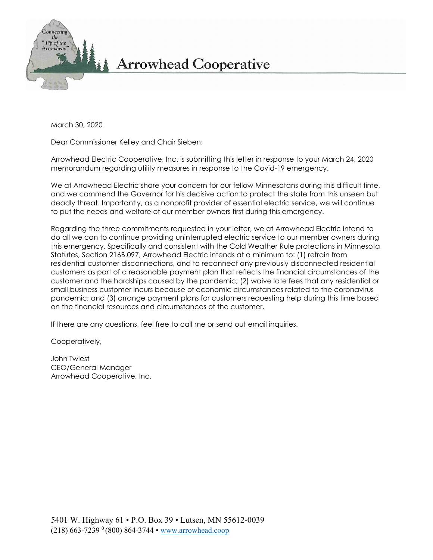

March 30, 2020

Dear Commissioner Kelley and Chair Sieben:

Arrowhead Electric Cooperative, Inc. is submitting this letter in response to your March 24, 2020 memorandum regarding utility measures in response to the Covid-19 emergency.

We at Arrowhead Electric share your concern for our fellow Minnesotans during this difficult time, and we commend the Governor for his decisive action to protect the state from this unseen but deadly threat. Importantly, as a nonprofit provider of essential electric service, we will continue to put the needs and welfare of our member owners first during this emergency.

Regarding the three commitments requested in your letter, we at Arrowhead Electric intend to do all we can to continue providing uninterrupted electric service to our member owners during this emergency. Specifically and consistent with the Cold Weather Rule protections in Minnesota Statutes, Section 216B.097, Arrowhead Electric intends at a minimum to: (1) refrain from residential customer disconnections, and to reconnect any previously disconnected residential customers as part of a reasonable payment plan that reflects the financial circumstances of the customer and the hardships caused by the pandemic; (2) waive late fees that any residential or small business customer incurs because of economic circumstances related to the coronavirus pandemic; and (3) arrange payment plans for customers requesting help during this time based on the financial resources and circumstances of the customer.

If there are any questions, feel free to call me or send out email inquiries.

Cooperatively,

John Twiest CEO/General Manager Arrowhead Cooperative, Inc.